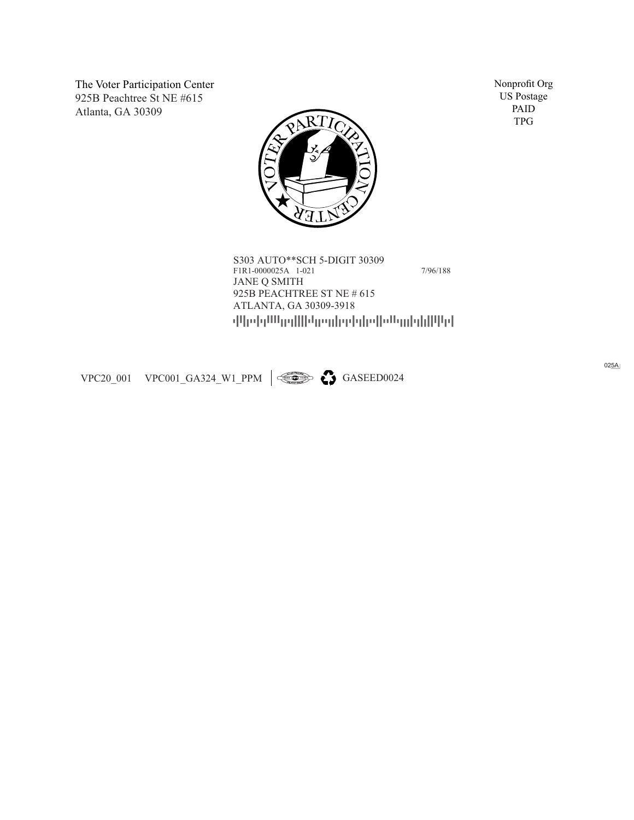The Voter Participation Center 925B Peachtree St NE #615 Atlanta, GA 30309



PAID TPG

---------- S303 AUTO\*\*SCH 5-DIGIT 30309 F1R1-0000025A 1-021 7/96/188 JANE Q SMITH 925B PEACHTREE ST NE # 615<br>ATLANTA, GA 30309-3918

VPC20\_001 VPC001\_GA324\_W1\_PPM  $\left|\right. \rightleftharpoons$  GASEED0024